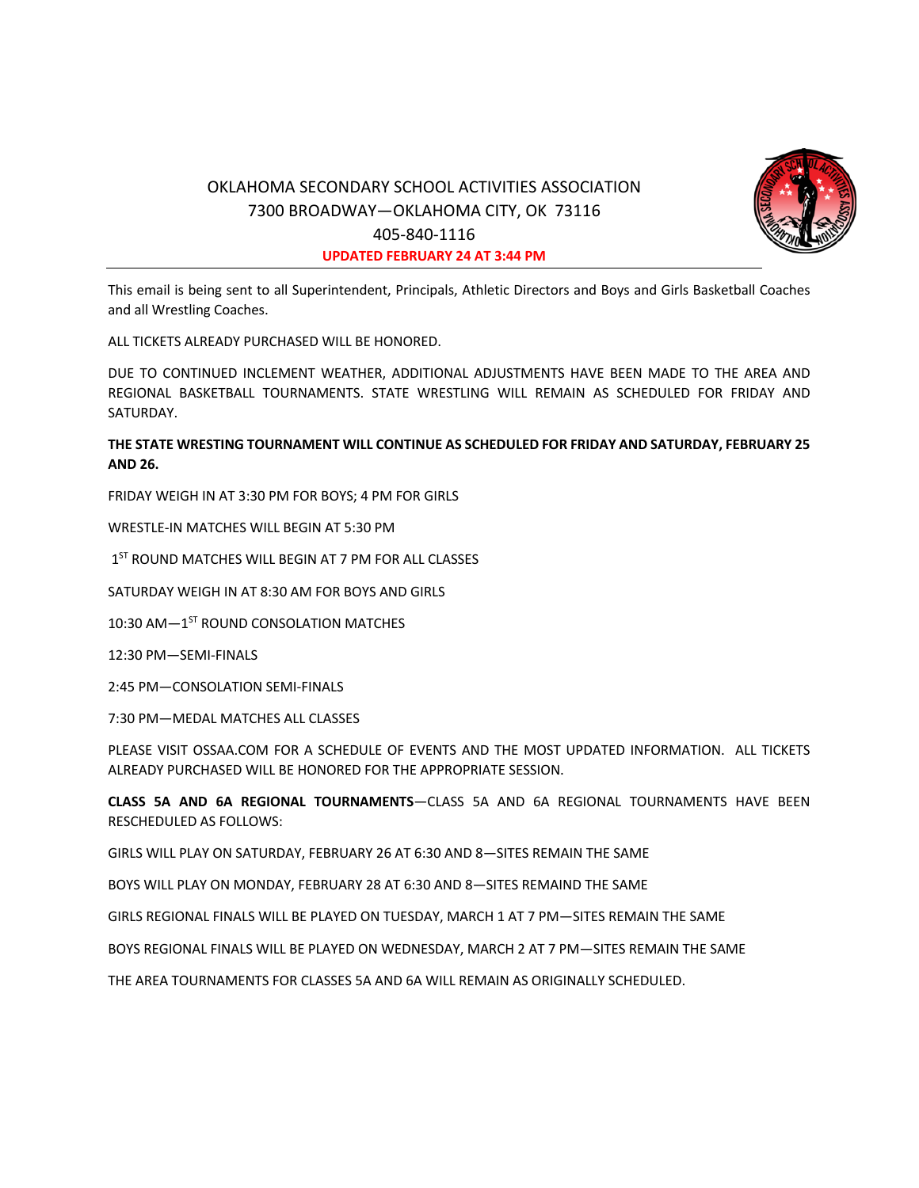

# OKLAHOMA SECONDARY SCHOOL ACTIVITIES ASSOCIATION 7300 BROADWAY—OKLAHOMA CITY, OK 73116 405-840-1116 **UPDATED FEBRUARY 24 AT 3:44 PM**

This email is being sent to all Superintendent, Principals, Athletic Directors and Boys and Girls Basketball Coaches and all Wrestling Coaches.

ALL TICKETS ALREADY PURCHASED WILL BE HONORED.

DUE TO CONTINUED INCLEMENT WEATHER, ADDITIONAL ADJUSTMENTS HAVE BEEN MADE TO THE AREA AND REGIONAL BASKETBALL TOURNAMENTS. STATE WRESTLING WILL REMAIN AS SCHEDULED FOR FRIDAY AND SATURDAY.

## **THE STATE WRESTING TOURNAMENT WILL CONTINUE AS SCHEDULED FOR FRIDAY AND SATURDAY, FEBRUARY 25 AND 26.**

FRIDAY WEIGH IN AT 3:30 PM FOR BOYS; 4 PM FOR GIRLS

WRESTLE-IN MATCHES WILL BEGIN AT 5:30 PM

1<sup>ST</sup> ROUND MATCHES WILL BEGIN AT 7 PM FOR ALL CLASSES

SATURDAY WEIGH IN AT 8:30 AM FOR BOYS AND GIRLS

10:30 AM—1ST ROUND CONSOLATION MATCHES

12:30 PM—SEMI-FINALS

2:45 PM—CONSOLATION SEMI-FINALS

7:30 PM—MEDAL MATCHES ALL CLASSES

PLEASE VISIT OSSAA.COM FOR A SCHEDULE OF EVENTS AND THE MOST UPDATED INFORMATION. ALL TICKETS ALREADY PURCHASED WILL BE HONORED FOR THE APPROPRIATE SESSION.

**CLASS 5A AND 6A REGIONAL TOURNAMENTS**—CLASS 5A AND 6A REGIONAL TOURNAMENTS HAVE BEEN RESCHEDULED AS FOLLOWS:

GIRLS WILL PLAY ON SATURDAY, FEBRUARY 26 AT 6:30 AND 8—SITES REMAIN THE SAME

BOYS WILL PLAY ON MONDAY, FEBRUARY 28 AT 6:30 AND 8—SITES REMAIND THE SAME

GIRLS REGIONAL FINALS WILL BE PLAYED ON TUESDAY, MARCH 1 AT 7 PM—SITES REMAIN THE SAME

BOYS REGIONAL FINALS WILL BE PLAYED ON WEDNESDAY, MARCH 2 AT 7 PM—SITES REMAIN THE SAME

THE AREA TOURNAMENTS FOR CLASSES 5A AND 6A WILL REMAIN AS ORIGINALLY SCHEDULED.